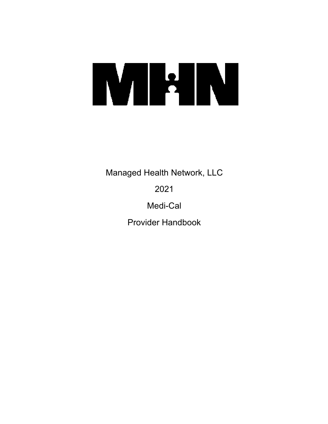# **METRI**

Managed Health Network, LLC

2021

Medi-Cal

Provider Handbook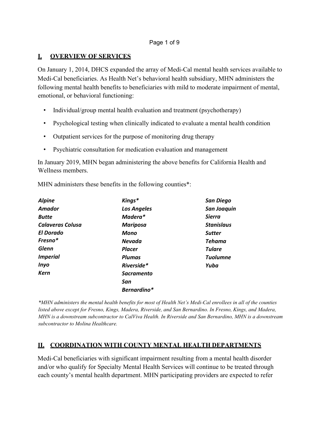# **I. OVERVIEW OF SERVICES**

On January 1, 2014, DHCS expanded the array of Medi-Cal mental health services available to Medi-Cal beneficiaries. As Health Net's behavioral health subsidiary, MHN administers the following mental health benefits to beneficiaries with mild to moderate impairment of mental, emotional, or behavioral functioning:

- Individual/group mental health evaluation and treatment (psychotherapy)
- Psychological testing when clinically indicated to evaluate a mental health condition
- Outpatient services for the purpose of monitoring drug therapy
- Psychiatric consultation for medication evaluation and management

In January 2019, MHN began administering the above benefits for California Health and Wellness members.

MHN administers these benefits in the following counties\*:

| <b>Alpine</b>           | Kings*             | <b>San Diego</b>   |
|-------------------------|--------------------|--------------------|
| Amador                  | <b>Los Angeles</b> | <b>San Joaquin</b> |
| <b>Butte</b>            | Madera*            | <b>Sierra</b>      |
| <b>Calaveras Colusa</b> | <b>Mariposa</b>    | <b>Stanislaus</b>  |
| El Dorado               | Mono               | <b>Sutter</b>      |
| Fresno*                 | Nevada             | Tehama             |
| Glenn                   | <b>Placer</b>      | <b>Tulare</b>      |
| <b>Imperial</b>         | <b>Plumas</b>      | <b>Tuolumne</b>    |
| <b>Inyo</b>             | Riverside*         | Yuba               |
| <b>Kern</b>             | <b>Sacramento</b>  |                    |
|                         | San                |                    |
|                         | Bernardino*        |                    |

*\*MHN administers the mental health benefits for most of Health Net's Medi-Cal enrollees in all of the counties listed above except for Fresno, Kings, Madera, Riverside, and San Bernardino. In Fresno, Kings, and Madera, MHN is a downstream subcontractor to CalViva Health. In Riverside and San Bernardino, MHN is a downstream subcontractor to Molina Healthcare.*

# **II. COORDINATION WITH COUNTY MENTAL HEALTH DEPARTMENTS**

Medi-Cal beneficiaries with significant impairment resulting from a mental health disorder and/or who qualify for Specialty Mental Health Services will continue to be treated through each county's mental health department. MHN participating providers are expected to refer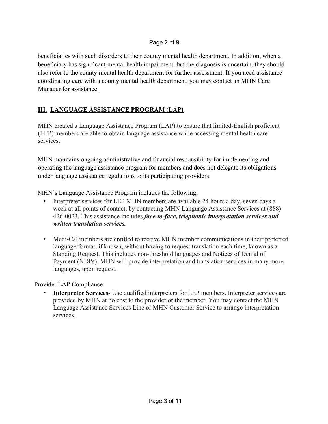### Page 2 of 9

beneficiaries with such disorders to their county mental health department. In addition, when a beneficiary has significant mental health impairment, but the diagnosis is uncertain, they should also refer to the county mental health department for further assessment. If you need assistance coordinating care with a county mental health department, you may contact an MHN Care Manager for assistance.

# **III. LANGUAGE ASSISTANCE PROGRAM (LAP)**

MHN created a Language Assistance Program (LAP) to ensure that limited-English proficient (LEP) members are able to obtain language assistance while accessing mental health care services.

MHN maintains ongoing administrative and financial responsibility for implementing and operating the language assistance program for members and does not delegate its obligations under language assistance regulations to its participating providers.

MHN's Language Assistance Program includes the following:

- Interpreter services for LEP MHN members are available 24 hours a day, seven days a week at all points of contact, by contacting MHN Language Assistance Services at (888) 426-0023. This assistance includes *face-to-face, telephonic interpretation services and written translation services.*
- Medi-Cal members are entitled to receive MHN member communications in their preferred language/format, if known, without having to request translation each time, known as a Standing Request. This includes non-threshold languages and Notices of Denial of Payment (NDPs). MHN will provide interpretation and translation services in many more languages, upon request.

Provider LAP Compliance

**Interpreter Services**- Use qualified interpreters for LEP members. Interpreter services are provided by MHN at no cost to the provider or the member. You may contact the MHN Language Assistance Services Line or MHN Customer Service to arrange interpretation services.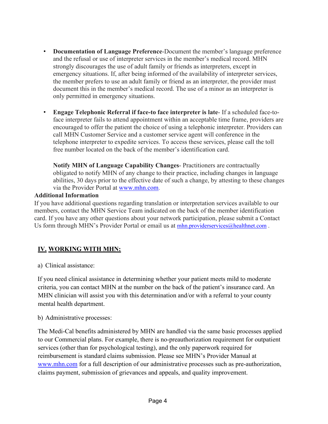- **Documentation of Language Preference**-Document the member's language preference and the refusal or use of interpreter services in the member's medical record. MHN strongly discourages the use of adult family or friends as interpreters, except in emergency situations. If, after being informed of the availability of interpreter services, the member prefers to use an adult family or friend as an interpreter, the provider must document this in the member's medical record. The use of a minor as an interpreter is only permitted in emergency situations.
- **Engage Telephonic Referral if face-to face interpreter is late** If a scheduled face-toface interpreter fails to attend appointment within an acceptable time frame, providers are encouraged to offer the patient the choice of using a telephonic interpreter. Providers can call MHN Customer Service and a customer service agent will conference in the telephone interpreter to expedite services. To access these services, please call the toll free number located on the back of the member's identification card.

**Notify MHN of Language Capability Changes**- Practitioners are contractually obligated to notify MHN of any change to their practice, including changes in language abilities, 30 days prior to the effective date of such a change, by attesting to these changes via the Provider Portal at [www.mhn.com.](http://www.mhn.com/)

### **Additional Information**

If you have additional questions regarding translation or interpretation services available to our members, contact the MHN Service Team indicated on the back of the member identification card. If you have any other questions about your network participation, please submit a Contact Us form through MHN's Provider Portal or email us at [mhn.providerservices@healthnet.com](mailto:mhn.providerservices@healthnet.com).

# **IV. WORKING WITH MHN:**

a) Clinical assistance:

If you need clinical assistance in determining whether your patient meets mild to moderate criteria, you can contact MHN at the number on the back of the patient's insurance card. An MHN clinician will assist you with this determination and/or with a referral to your county mental health department.

### b) Administrative processes:

The Medi-Cal benefits administered by MHN are handled via the same basic processes applied to our Commercial plans. For example, there is no-preauthorization requirement for outpatient services (other than for psychological testing), and the only paperwork required for reimbursement is standard claims submission. Please see MHN's Provider Manual at [www.mhn.com](http://www.mhn.com/) for a full description of our administrative processes such as pre-authorization, claims payment, submission of grievances and appeals, and quality improvement.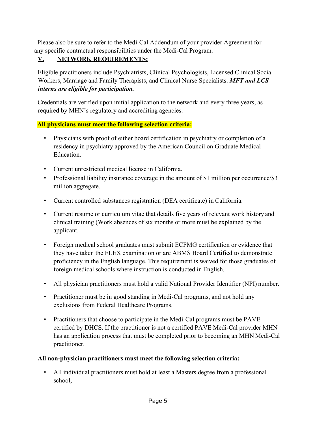Please also be sure to refer to the Medi-Cal Addendum of your provider Agreement for any specific contractual responsibilities under the Medi-Cal Program.

# **V. NETWORK REQUIREMENTS:**

Eligible practitioners include Psychiatrists, Clinical Psychologists, Licensed Clinical Social Workers, Marriage and Family Therapists, and Clinical Nurse Specialists. *MFT and LCS interns are eligible for participation.*

Credentials are verified upon initial application to the network and every three years, as required by MHN's regulatory and accrediting agencies.

# **All physicians must meet the following selection criteria:**

- Physicians with proof of either board certification in psychiatry or completion of a residency in psychiatry approved by the American Council on Graduate Medical Education.
- Current unrestricted medical license in California.
- Professional liability insurance coverage in the amount of \$1 million per occurrence/\$3 million aggregate.
- Current controlled substances registration (DEA certificate) in California.
- Current resume or curriculum vitae that details five years of relevant work history and clinical training (Work absences of six months or more must be explained by the applicant.
- Foreign medical school graduates must submit ECFMG certification or evidence that they have taken the FLEX examination or are ABMS Board Certified to demonstrate proficiency in the English language. This requirement is waived for those graduates of foreign medical schools where instruction is conducted in English.
- All physician practitioners must hold a valid National Provider Identifier (NPI) number.
- Practitioner must be in good standing in Medi-Cal programs, and not hold any exclusions from Federal Healthcare Programs.
- Practitioners that choose to participate in the Medi-Cal programs must be PAVE certified by DHCS. If the practitioner is not a certified PAVE Medi-Cal provider MHN has an application process that must be completed prior to becoming an MHN Medi-Cal practitioner.

# **All non-physician practitioners must meet the following selection criteria:**

• All individual practitioners must hold at least a Masters degree from a professional school,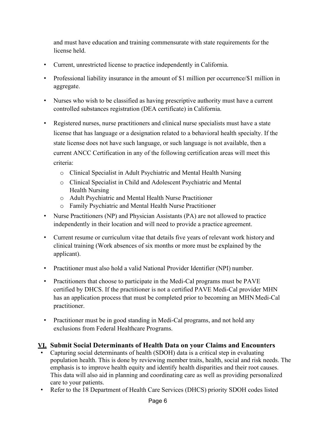and must have education and training commensurate with state requirements for the license held.

- Current, unrestricted license to practice independently in California.
- Professional liability insurance in the amount of \$1 million per occurrence/\$1 million in aggregate.
- Nurses who wish to be classified as having prescriptive authority must have a current controlled substances registration (DEA certificate) in California.
- Registered nurses, nurse practitioners and clinical nurse specialists must have a state license that has language or a designation related to a behavioral health specialty. If the state license does not have such language, or such language is not available, then a current ANCC Certification in any of the following certification areas will meet this criteria:
	- o Clinical Specialist in Adult Psychiatric and Mental Health Nursing
	- o Clinical Specialist in Child and Adolescent Psychiatric and Mental Health Nursing
	- o Adult Psychiatric and Mental Health Nurse Practitioner
	- o Family Psychiatric and Mental Health Nurse Practitioner
- Nurse Practitioners (NP) and Physician Assistants (PA) are not allowed to practice independently in their location and will need to provide a practice agreement.
- Current resume or curriculum vitae that details five years of relevant work history and clinical training (Work absences of six months or more must be explained by the applicant).
- Practitioner must also hold a valid National Provider Identifier (NPI) number.
- Practitioners that choose to participate in the Medi-Cal programs must be PAVE certified by DHCS. If the practitioner is not a certified PAVE Medi-Cal provider MHN has an application process that must be completed prior to becoming an MHN Medi-Cal practitioner.
- Practitioner must be in good standing in Medi-Cal programs, and not hold any exclusions from Federal Healthcare Programs.

# **VI. Submit Social Determinants of Health Data on your Claims and Encounters**

- Capturing social determinants of health (SDOH) data is a critical step in evaluating population health. This is done by reviewing member traits, health, social and risk needs. The emphasis is to improve health equity and identify health disparities and their root causes. This data will also aid in planning and coordinating care as well as providing personalized care to your patients.
- Refer to the 18 Department of Health Care Services (DHCS) priority SDOH codes listed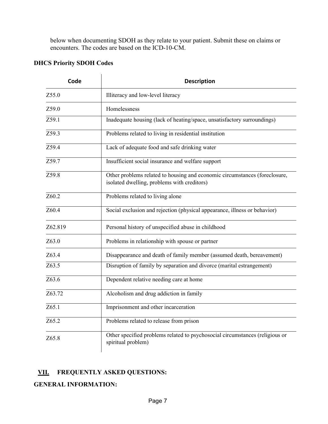below when documenting SDOH as they relate to your patient. Submit these on claims or encounters. The codes are based on the ICD‐10‐CM.

# **DHCS Priority SDOH Codes**

| Code    | <b>Description</b>                                                                                                        |  |
|---------|---------------------------------------------------------------------------------------------------------------------------|--|
| Z55.0   | Illiteracy and low-level literacy                                                                                         |  |
| Z59.0   | Homelessness                                                                                                              |  |
| Z59.1   | Inadequate housing (lack of heating/space, unsatisfactory surroundings)                                                   |  |
| Z59.3   | Problems related to living in residential institution                                                                     |  |
| Z59.4   | Lack of adequate food and safe drinking water                                                                             |  |
| Z59.7   | Insufficient social insurance and welfare support                                                                         |  |
| Z59.8   | Other problems related to housing and economic circumstances (foreclosure,<br>isolated dwelling, problems with creditors) |  |
| Z60.2   | Problems related to living alone                                                                                          |  |
| Z60.4   | Social exclusion and rejection (physical appearance, illness or behavior)                                                 |  |
| Z62.819 | Personal history of unspecified abuse in childhood                                                                        |  |
| Z63.0   | Problems in relationship with spouse or partner                                                                           |  |
| Z63.4   | Disappearance and death of family member (assumed death, bereavement)                                                     |  |
| Z63.5   | Disruption of family by separation and divorce (marital estrangement)                                                     |  |
| Z63.6   | Dependent relative needing care at home                                                                                   |  |
| Z63.72  | Alcoholism and drug addiction in family                                                                                   |  |
| Z65.1   | Imprisonment and other incarceration                                                                                      |  |
| Z65.2   | Problems related to release from prison                                                                                   |  |
| Z65.8   | Other specified problems related to psychosocial circumstances (religious or<br>spiritual problem)                        |  |

# **VII. FREQUENTLY ASKED QUESTIONS:**

**GENERAL INFORMATION:**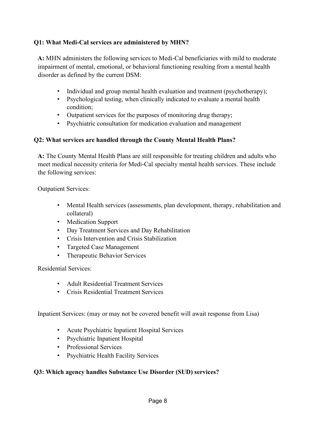# **Q1: What Medi-Cal services are administered by MHN?**

**A:** MHN administers the following services to Medi-Cal beneficiaries with mild to moderate impairment of mental, emotional, or behavioral functioning resulting from a mental health disorder as defined by the current DSM:

- Individual and group mental health evaluation and treatment (psychotherapy);
- Psychological testing, when clinically indicated to evaluate a mental health condition;
- Outpatient services for the purposes of monitoring drug therapy;
- Psychiatric consultation for medication evaluation and management

# **Q2: What services are handled through the County Mental Health Plans?**

**A:** The County Mental Health Plans are still responsible for treating children and adults who meet medical necessity criteria for Medi-Cal specialty mental health services. These include the following services:

Outpatient Services:

- Mental Health services (assessments, plan development, therapy, rehabilitation and collateral)
- Medication Support
- Day Treatment Services and Day Rehabilitation
- Crisis Intervention and Crisis Stabilization
- Targeted Case Management
- Therapeutic Behavior Services

Residential Services:

- Adult Residential Treatment Services
- Crisis Residential Treatment Services

Inpatient Services: (may or may not be covered benefit will await response from Lisa)

- Acute Psychiatric Inpatient Hospital Services
- Psychiatric Inpatient Hospital
- Professional Services
- Psychiatric Health Facility Services

### **Q3: Which agency handles Substance Use Disorder (SUD) services?**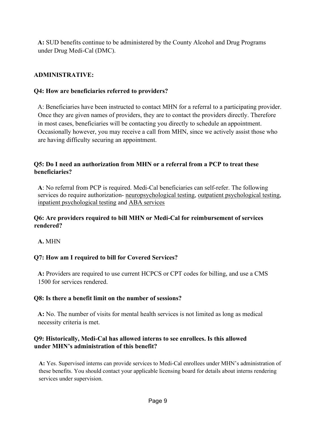**A:** SUD benefits continue to be administered by the County Alcohol and Drug Programs under Drug Medi-Cal (DMC).

# **ADMINISTRATIVE:**

## **Q4: How are beneficiaries referred to providers?**

A: Beneficiaries have been instructed to contact MHN for a referral to a participating provider. Once they are given names of providers, they are to contact the providers directly. Therefore in most cases, beneficiaries will be contacting you directly to schedule an appointment. Occasionally however, you may receive a call from MHN, since we actively assist those who are having difficulty securing an appointment.

# **Q5: Do I need an authorization from MHN or a referral from a PCP to treat these beneficiaries?**

**A**: No referral from PCP is required. Medi-Cal beneficiaries can self-refer. The following services do require authorization- neuropsychological testing, outpatient psychological testing, inpatient psychological testing and ABA services

### **Q6: Are providers required to bill MHN or Medi-Cal for reimbursement of services rendered?**

**A.** MHN

# **Q7: How am I required to bill for Covered Services?**

**A:** Providers are required to use current HCPCS or CPT codes for billing, and use a CMS 1500 for services rendered.

### **Q8: Is there a benefit limit on the number of sessions?**

**A:** No. The number of visits for mental health services is not limited as long as medical necessity criteria is met.

# **Q9: Historically, Medi-Cal has allowed interns to see enrollees. Is this allowed under MHN's administration of this benefit?**

**A:** Yes. Supervised interns can provide services to Medi-Cal enrollees under MHN's administration of these benefits. You should contact your applicable licensing board for details about interns rendering services under supervision.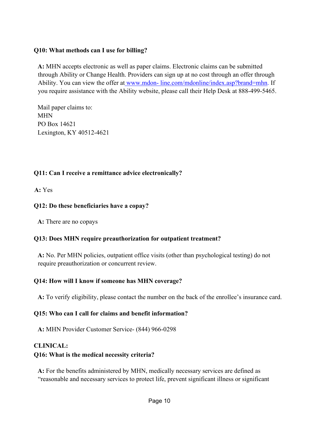## **Q10: What methods can I use for billing?**

**A:** MHN accepts electronic as well as paper claims. Electronic claims can be submitted through Ability or Change Health. Providers can sign up at no cost through an offer through Ability. You can view the offer at www.mdon-[line.com/mdonline/index.asp?brand=mhn.](http://www.mdon-line.com/mdonline/index.asp?brand=mhn) If you require assistance with the Ability website, please call their Help Desk at 888-499-5465.

Mail paper claims to: MHN PO Box 14621 Lexington, KY 40512-4621

# **Q11: Can I receive a remittance advice electronically?**

**A:** Yes

# **Q12: Do these beneficiaries have a copay?**

**A:** There are no copays

### **Q13: Does MHN require preauthorization for outpatient treatment?**

**A:** No. Per MHN policies, outpatient office visits (other than psychological testing) do not require preauthorization or concurrent review.

### **Q14: How will I know if someone has MHN coverage?**

**A:** To verify eligibility, please contact the number on the back of the enrollee's insurance card.

### **Q15: Who can I call for claims and benefit information?**

**A:** MHN Provider Customer Service- (844) 966-0298

# **CLINICAL:**

### **Q16: What is the medical necessity criteria?**

**A:** For the benefits administered by MHN, medically necessary services are defined as "reasonable and necessary services to protect life, prevent significant illness or significant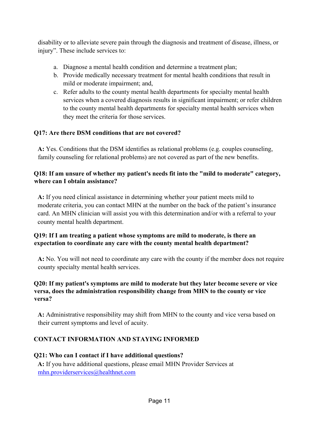disability or to alleviate severe pain through the diagnosis and treatment of disease, illness, or injury". These include services to:

- a. Diagnose a mental health condition and determine a treatment plan;
- b. Provide medically necessary treatment for mental health conditions that result in mild or moderate impairment; and,
- c. Refer adults to the county mental health departments for specialty mental health services when a covered diagnosis results in significant impairment; or refer children to the county mental health departments for specialty mental health services when they meet the criteria for those services.

# **Q17: Are there DSM conditions that are not covered?**

**A:** Yes. Conditions that the DSM identifies as relational problems (e.g. couples counseling, family counseling for relational problems) are not covered as part of the new benefits.

## **Q18: If am unsure of whether my patient's needs fit into the "mild to moderate" category, where can I obtain assistance?**

**A:** If you need clinical assistance in determining whether your patient meets mild to moderate criteria, you can contact MHN at the number on the back of the patient's insurance card. An MHN clinician will assist you with this determination and/or with a referral to your county mental health department.

### **Q19: If I am treating a patient whose symptoms are mild to moderate, is there an expectation to coordinate any care with the county mental health department?**

**A:** No. You will not need to coordinate any care with the county if the member does not require county specialty mental health services.

# **Q20: If my patient's symptoms are mild to moderate but they later become severe or vice versa, does the administration responsibility change from MHN to the county or vice versa?**

**A:** Administrative responsibility may shift from MHN to the county and vice versa based on their current symptoms and level of acuity.

# **CONTACT INFORMATION AND STAYING INFORMED**

### **Q21: Who can I contact if I have additional questions?**

**A:** If you have additional questions, please email MHN Provider Services at [mhn.providerservices@healthnet.com](mailto:mhn.providerservices@healthnet.com)